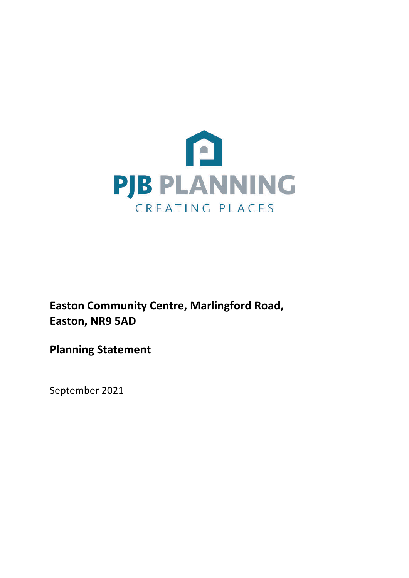

**Easton Community Centre, Marlingford Road, Easton, NR9 5AD** 

**Planning Statement** 

September 2021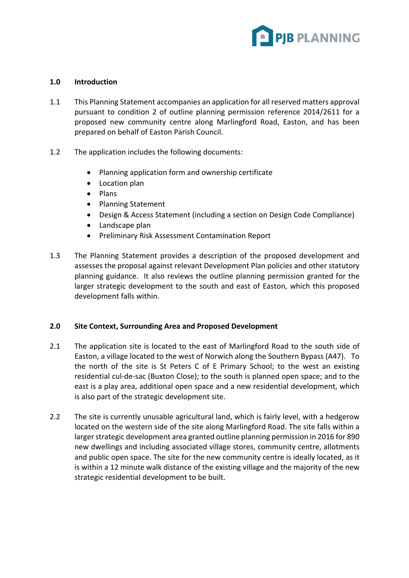

### **1.0 Introduction**

- 1.1 This Planning Statement accompanies an application for all reserved matters approval pursuant to condition 2 of outline planning permission reference 2014/2611 for a proposed new community centre along Marlingford Road, Easton, and has been prepared on behalf of Easton Parish Council.
- 1.2 The application includes the following documents:
	- Planning application form and ownership certificate
	- Location plan
	- Plans
	- Planning Statement
	- Design & Access Statement (including a section on Design Code Compliance)
	- Landscape plan
	- Preliminary Risk Assessment Contamination Report
- 1.3 The Planning Statement provides a description of the proposed development and assesses the proposal against relevant Development Plan policies and other statutory planning guidance. It also reviews the outline planning permission granted for the larger strategic development to the south and east of Easton, which this proposed development falls within.

#### **2.0** Site Context, Surrounding Area and Proposed Development

- 2.1 The application site is located to the east of Marlingford Road to the south side of Easton, a village located to the west of Norwich along the Southern Bypass (A47). To the north of the site is St Peters C of E Primary School; to the west an existing residential cul-de-sac (Buxton Close); to the south is planned open space; and to the east is a play area, additional open space and a new residential development, which is also part of the strategic development site.
- 2.2 The site is currently unusable agricultural land, which is fairly level, with a hedgerow located on the western side of the site along Marlingford Road. The site falls within a larger strategic development area granted outline planning permission in 2016 for 890 new dwellings and including associated village stores, community centre, allotments and public open space. The site for the new community centre is ideally located, as it is within a 12 minute walk distance of the existing village and the majority of the new strategic residential development to be built.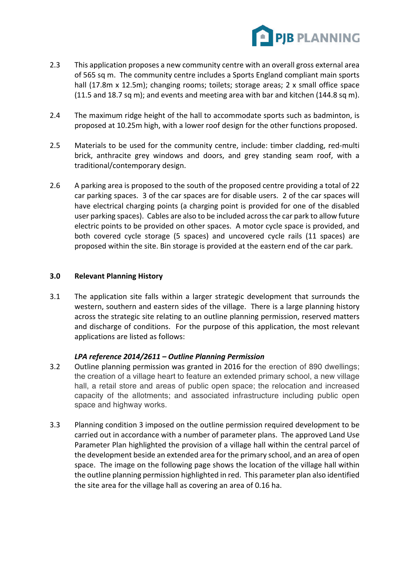

- 2.3 This application proposes a new community centre with an overall gross external area of 565 sq m. The community centre includes a Sports England compliant main sports hall (17.8m x 12.5m); changing rooms; toilets; storage areas; 2 x small office space (11.5 and 18.7 sq m); and events and meeting area with bar and kitchen (144.8 sq m).
- 2.4 The maximum ridge height of the hall to accommodate sports such as badminton, is proposed at 10.25m high, with a lower roof design for the other functions proposed.
- 2.5 Materials to be used for the community centre, include: timber cladding, red-multi brick, anthracite grey windows and doors, and grey standing seam roof, with a traditional/contemporary design.
- 2.6 A parking area is proposed to the south of the proposed centre providing a total of 22 car parking spaces. 3 of the car spaces are for disable users. 2 of the car spaces will have electrical charging points (a charging point is provided for one of the disabled user parking spaces). Cables are also to be included across the car park to allow future electric points to be provided on other spaces. A motor cycle space is provided, and both covered cycle storage (5 spaces) and uncovered cycle rails (11 spaces) are proposed within the site. Bin storage is provided at the eastern end of the car park.

# **3.0 Relevant Planning History**

3.1 The application site falls within a larger strategic development that surrounds the western, southern and eastern sides of the village. There is a large planning history across the strategic site relating to an outline planning permission, reserved matters and discharge of conditions. For the purpose of this application, the most relevant applications are listed as follows:

# *LPA reference 2014/2611 – Outline Planning Permission*

- 3.2 Outline planning permission was granted in 2016 for the erection of 890 dwellings; the creation of a village heart to feature an extended primary school, a new village hall, a retail store and areas of public open space; the relocation and increased capacity of the allotments; and associated infrastructure including public open space and highway works.
- 3.3 Planning condition 3 imposed on the outline permission required development to be carried out in accordance with a number of parameter plans. The approved Land Use Parameter Plan highlighted the provision of a village hall within the central parcel of the development beside an extended area for the primary school, and an area of open space. The image on the following page shows the location of the village hall within the outline planning permission highlighted in red. This parameter plan also identified the site area for the village hall as covering an area of 0.16 ha.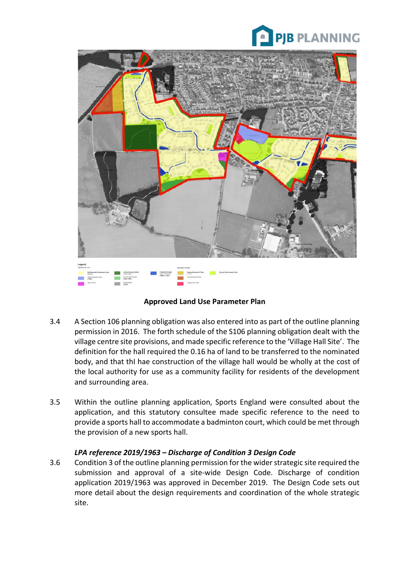



**Approved Land Use Parameter Plan** 

- 3.4 A Section 106 planning obligation was also entered into as part of the outline planning permission in 2016. The forth schedule of the S106 planning obligation dealt with the village centre site provisions, and made specific reference to the 'Village Hall Site'. The definition for the hall required the 0.16 ha of land to be transferred to the nominated body, and that thi hae construction of the village hall would be wholly at the cost of the local authority for use as a community facility for residents of the development and surrounding area.
- 3.5 Within the outline planning application, Sports England were consulted about the application, and this statutory consultee made specific reference to the need to provide a sports hall to accommodate a badminton court, which could be met through the provision of a new sports hall.

## *LPA reference 2019/1963 – Discharge of Condition 3 Design Code*

3.6 Condition 3 of the outline planning permission for the wider strategic site required the submission and approval of a site-wide Design Code. Discharge of condition application 2019/1963 was approved in December 2019. The Design Code sets out more detail about the design requirements and coordination of the whole strategic site.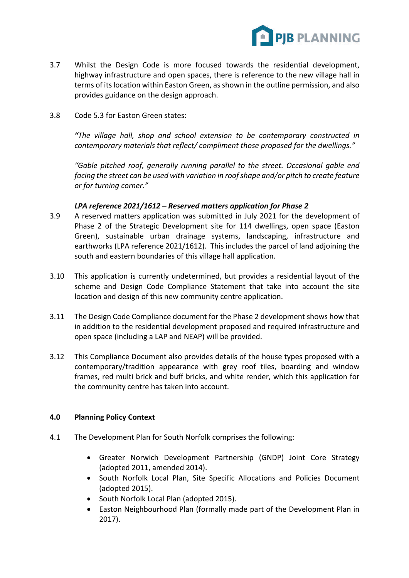

- 3.7 Whilst the Design Code is more focused towards the residential development, highway infrastructure and open spaces, there is reference to the new village hall in terms of its location within Easton Green, as shown in the outline permission, and also provides guidance on the design approach.
- 3.8 Code 5.3 for Easton Green states:

**"The village hall, shop and school extension to be contemporary constructed in** *contemporary materials that reflect/ compliment those proposed for the dwellings."* 

"Gable pitched roof, generally running parallel to the street. Occasional gable end *facing* the street can be used with variation in roof shape and/or pitch to create feature *or for turning corner."*

# *LPA reference 2021/1612 – Reserved matters application for Phase 2*

- 3.9 A reserved matters application was submitted in July 2021 for the development of Phase 2 of the Strategic Development site for 114 dwellings, open space (Easton Green), sustainable urban drainage systems, landscaping, infrastructure and earthworks (LPA reference 2021/1612). This includes the parcel of land adjoining the south and eastern boundaries of this village hall application.
- 3.10 This application is currently undetermined, but provides a residential layout of the scheme and Design Code Compliance Statement that take into account the site location and design of this new community centre application.
- 3.11 The Design Code Compliance document for the Phase 2 development shows how that in addition to the residential development proposed and required infrastructure and open space (including a LAP and NEAP) will be provided.
- 3.12 This Compliance Document also provides details of the house types proposed with a contemporary/tradition appearance with grey roof tiles, boarding and window frames, red multi brick and buff bricks, and white render, which this application for the community centre has taken into account.

## **4.0 Planning Policy Context**

- 4.1 The Development Plan for South Norfolk comprises the following:
	- Greater Norwich Development Partnership (GNDP) Joint Core Strategy (adopted 2011, amended 2014).
	- South Norfolk Local Plan, Site Specific Allocations and Policies Document (adopted 2015).
	- South Norfolk Local Plan (adopted 2015).
	- Easton Neighbourhood Plan (formally made part of the Development Plan in 2017).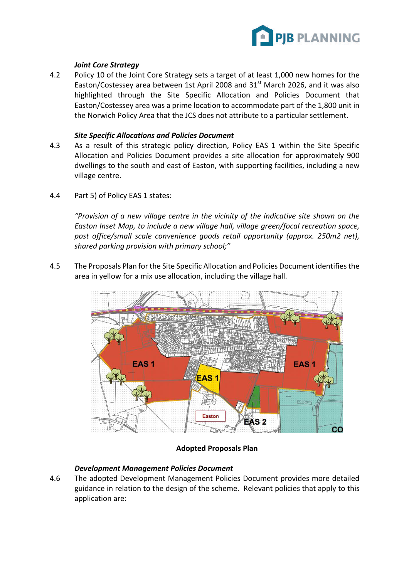

## *Joint Core Strategy*

4.2 Policy 10 of the Joint Core Strategy sets a target of at least 1,000 new homes for the Easton/Costessey area between 1st April 2008 and  $31<sup>st</sup>$  March 2026, and it was also highlighted through the Site Specific Allocation and Policies Document that Easton/Costessey area was a prime location to accommodate part of the 1,800 unit in the Norwich Policy Area that the JCS does not attribute to a particular settlement.

## **Site Specific Allocations and Policies Document**

- 4.3 As a result of this strategic policy direction, Policy EAS 1 within the Site Specific Allocation and Policies Document provides a site allocation for approximately 900 dwellings to the south and east of Easton, with supporting facilities, including a new village centre.
- 4.4 Part 5) of Policy EAS 1 states:

*"Provision of a new village centre in the vicinity of the indicative site shown on the Easton Inset Map, to include a new village hall, village green/focal recreation space,* post office/small scale convenience goods retail opportunity (approx. 250m2 net), shared parking provision with primary school;"

4.5 The Proposals Plan for the Site Specific Allocation and Policies Document identifies the area in yellow for a mix use allocation, including the village hall.



## **Adopted Proposals Plan**

#### *Development Management Policies Document*

4.6 The adopted Development Management Policies Document provides more detailed guidance in relation to the design of the scheme. Relevant policies that apply to this application are: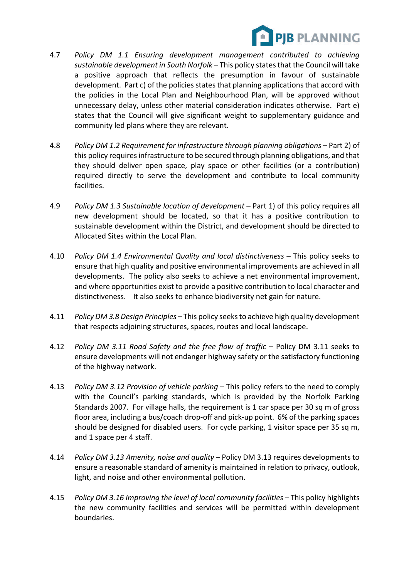

- 4.7 *Policy DM 1.1 Ensuring development management contributed to achieving*  sustainable development in South Norfolk - This policy states that the Council will take a positive approach that reflects the presumption in favour of sustainable development. Part c) of the policies states that planning applications that accord with the policies in the Local Plan and Neighbourhood Plan, will be approved without unnecessary delay, unless other material consideration indicates otherwise. Part e) states that the Council will give significant weight to supplementary guidance and community led plans where they are relevant.
- 4.8 Policy DM 1.2 Requirement for infrastructure through planning obligations Part 2) of this policy requires infrastructure to be secured through planning obligations, and that they should deliver open space, play space or other facilities (or a contribution) required directly to serve the development and contribute to local community facilities.
- 4.9 Policy DM 1.3 Sustainable location of development Part 1) of this policy requires all new development should be located, so that it has a positive contribution to sustainable development within the District, and development should be directed to Allocated Sites within the Local Plan.
- 4.10 *Policy DM 1.4 Environmental Quality and local distinctiveness* This policy seeks to ensure that high quality and positive environmental improvements are achieved in all developments. The policy also seeks to achieve a net environmental improvement, and where opportunities exist to provide a positive contribution to local character and distinctiveness. It also seeks to enhance biodiversity net gain for nature.
- 4.11 *Policy DM 3.8 Design Principles* This policy seeks to achieve high quality development that respects adjoining structures, spaces, routes and local landscape.
- 4.12 *Policy DM 3.11 Road Safety and the free flow of traffic* Policy DM 3.11 seeks to ensure developments will not endanger highway safety or the satisfactory functioning of the highway network.
- 4.13 *Policy DM 3.12 Provision of vehicle parking* This policy refers to the need to comply with the Council's parking standards, which is provided by the Norfolk Parking Standards 2007. For village halls, the requirement is 1 car space per 30 sq m of gross floor area, including a bus/coach drop-off and pick-up point. 6% of the parking spaces should be designed for disabled users. For cycle parking, 1 visitor space per 35 sq m, and 1 space per 4 staff.
- 4.14 *Policy DM 3.13 Amenity, noise and quality* Policy DM 3.13 requires developments to ensure a reasonable standard of amenity is maintained in relation to privacy, outlook, light, and noise and other environmental pollution.
- 4.15 *Policy DM 3.16 Improving the level of local community facilities* This policy highlights the new community facilities and services will be permitted within development boundaries.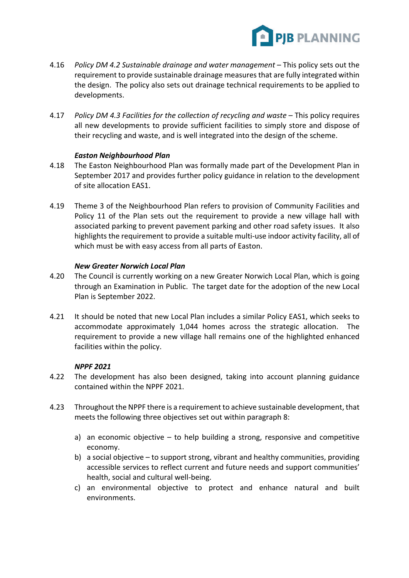

- 4.16 *Policy DM 4.2 Sustainable drainage and water management* This policy sets out the requirement to provide sustainable drainage measures that are fully integrated within the design. The policy also sets out drainage technical requirements to be applied to developments.
- 4.17 *Policy DM 4.3 Facilities for the collection of recycling and waste* This policy requires all new developments to provide sufficient facilities to simply store and dispose of their recycling and waste, and is well integrated into the design of the scheme.

## *Easton Neighbourhood Plan*

- 4.18 The Easton Neighbourhood Plan was formally made part of the Development Plan in September 2017 and provides further policy guidance in relation to the development of site allocation EAS1.
- 4.19 Theme 3 of the Neighbourhood Plan refers to provision of Community Facilities and Policy 11 of the Plan sets out the requirement to provide a new village hall with associated parking to prevent pavement parking and other road safety issues. It also highlights the requirement to provide a suitable multi-use indoor activity facility, all of which must be with easy access from all parts of Easton.

# *New Greater Norwich Local Plan*

- 4.20 The Council is currently working on a new Greater Norwich Local Plan, which is going through an Examination in Public. The target date for the adoption of the new Local Plan is September 2022.
- 4.21 It should be noted that new Local Plan includes a similar Policy EAS1, which seeks to accommodate approximately 1,044 homes across the strategic allocation. The requirement to provide a new village hall remains one of the highlighted enhanced facilities within the policy.

## *NPPF 2021*

- 4.22 The development has also been designed, taking into account planning guidance contained within the NPPF 2021.
- 4.23 Throughout the NPPF there is a requirement to achieve sustainable development, that meets the following three objectives set out within paragraph 8:
	- a) an economic objective  $-$  to help building a strong, responsive and competitive economy.
	- b) a social objective  $-$  to support strong, vibrant and healthy communities, providing accessible services to reflect current and future needs and support communities' health, social and cultural well-being.
	- c) an environmental objective to protect and enhance natural and built environments.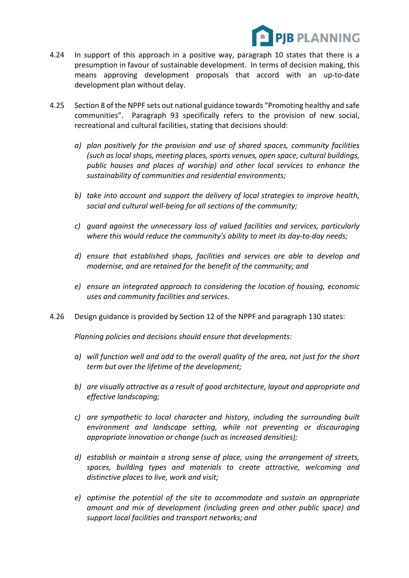

- 4.24 In support of this approach in a positive way, paragraph 10 states that there is a presumption in favour of sustainable development. In terms of decision making, this means approving development proposals that accord with an up-to-date development plan without delay.
- 4.25 Section 8 of the NPPF sets out national guidance towards "Promoting healthy and safe communities". Paragraph 93 specifically refers to the provision of new social, recreational and cultural facilities, stating that decisions should:
	- *a*) plan positively for the provision and use of shared spaces, community facilities *(such as local shops, meeting places, sports venues, open space, cultural buildings, public* houses and places of worship) and other local services to enhance the sustainability of communities and residential environments;
	- b) take into account and support the delivery of local strategies to improve health, social and cultural well-being for all sections of the community;
	- *c*) *guard against the unnecessary loss of valued facilities and services, particularly* where this would reduce the community's ability to meet its day-to-day needs;
	- *d)* ensure that established shops, facilities and services are able to develop and modernise, and are retained for the benefit of the community; and
	- *e*) ensure an integrated approach to considering the location of housing, economic *uses and community facilities and services.*
- 4.26 Design guidance is provided by Section 12 of the NPPF and paragraph 130 states:

*Planning policies and decisions should ensure that developments:* 

- *a*) will function well and add to the overall quality of the area, not just for the short term but over the lifetime of the development;
- b) are visually attractive as a result of good architecture, layout and appropriate and *effective landscaping;*
- *c*) are sympathetic to local character and history, including the surrounding built environment and landscape setting, while not preventing or discouraging *appropriate innovation or change (such as increased densities);*
- *d)* establish or maintain a strong sense of place, using the arrangement of streets, spaces, building types and materials to create attractive, welcoming and distinctive places to live, work and visit;
- *e*) *optimise* the potential of the site to accommodate and sustain an appropriate *amount and mix of development (including green and other public space) and* support local facilities and transport networks; and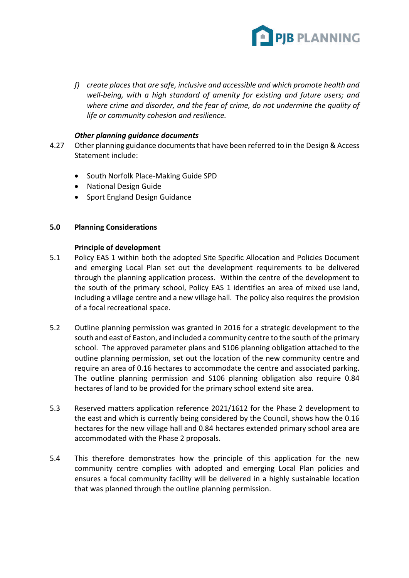

f) create places that are safe, inclusive and accessible and which promote health and well-being, with a high standard of amenity for existing and future users; and where crime and disorder, and the fear of crime, do not undermine the quality of *life* or community cohesion and resilience.

### **Other planning quidance documents**

- 4.27 Other planning guidance documents that have been referred to in the Design & Access Statement include:
	- South Norfolk Place-Making Guide SPD
	- National Design Guide
	- Sport England Design Guidance

### **5.0 Planning Considerations**

### **Principle of development**

- 5.1 Policy EAS 1 within both the adopted Site Specific Allocation and Policies Document and emerging Local Plan set out the development requirements to be delivered through the planning application process. Within the centre of the development to the south of the primary school, Policy EAS 1 identifies an area of mixed use land, including a village centre and a new village hall. The policy also requires the provision of a focal recreational space.
- 5.2 Outline planning permission was granted in 2016 for a strategic development to the south and east of Easton, and included a community centre to the south of the primary school. The approved parameter plans and S106 planning obligation attached to the outline planning permission, set out the location of the new community centre and require an area of 0.16 hectares to accommodate the centre and associated parking. The outline planning permission and S106 planning obligation also require 0.84 hectares of land to be provided for the primary school extend site area.
- 5.3 Reserved matters application reference 2021/1612 for the Phase 2 development to the east and which is currently being considered by the Council, shows how the 0.16 hectares for the new village hall and 0.84 hectares extended primary school area are accommodated with the Phase 2 proposals.
- 5.4 This therefore demonstrates how the principle of this application for the new community centre complies with adopted and emerging Local Plan policies and ensures a focal community facility will be delivered in a highly sustainable location that was planned through the outline planning permission.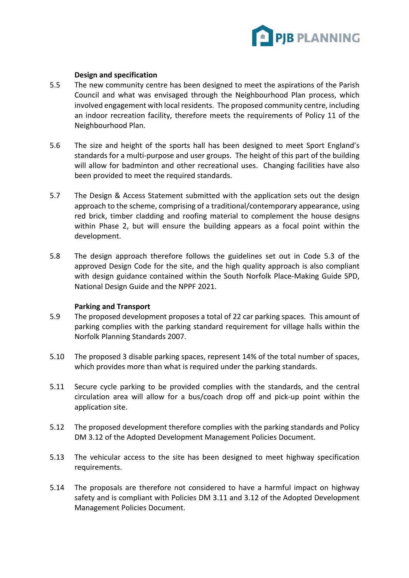

### **Design and specification**

- 5.5 The new community centre has been designed to meet the aspirations of the Parish Council and what was envisaged through the Neighbourhood Plan process, which involved engagement with local residents. The proposed community centre, including an indoor recreation facility, therefore meets the requirements of Policy 11 of the Neighbourhood Plan.
- 5.6 The size and height of the sports hall has been designed to meet Sport England's standards for a multi-purpose and user groups. The height of this part of the building will allow for badminton and other recreational uses. Changing facilities have also been provided to meet the required standards.
- 5.7 The Design & Access Statement submitted with the application sets out the design approach to the scheme, comprising of a traditional/contemporary appearance, using red brick, timber cladding and roofing material to complement the house designs within Phase 2, but will ensure the building appears as a focal point within the development.
- 5.8 The design approach therefore follows the guidelines set out in Code 5.3 of the approved Design Code for the site, and the high quality approach is also compliant with design guidance contained within the South Norfolk Place-Making Guide SPD, National Design Guide and the NPPF 2021.

#### **Parking and Transport**

- 5.9 The proposed development proposes a total of 22 car parking spaces. This amount of parking complies with the parking standard requirement for village halls within the Norfolk Planning Standards 2007.
- 5.10 The proposed 3 disable parking spaces, represent 14% of the total number of spaces, which provides more than what is required under the parking standards.
- 5.11 Secure cycle parking to be provided complies with the standards, and the central circulation area will allow for a bus/coach drop off and pick-up point within the application site.
- 5.12 The proposed development therefore complies with the parking standards and Policy DM 3.12 of the Adopted Development Management Policies Document.
- 5.13 The vehicular access to the site has been designed to meet highway specification requirements.
- 5.14 The proposals are therefore not considered to have a harmful impact on highway safety and is compliant with Policies DM 3.11 and 3.12 of the Adopted Development Management Policies Document.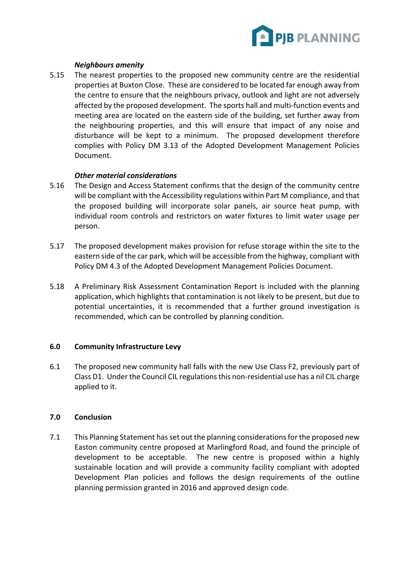

### *Neighbours amenity*

5.15 The nearest properties to the proposed new community centre are the residential properties at Buxton Close. These are considered to be located far enough away from the centre to ensure that the neighbours privacy, outlook and light are not adversely affected by the proposed development. The sports hall and multi-function events and meeting area are located on the eastern side of the building, set further away from the neighbouring properties, and this will ensure that impact of any noise and disturbance will be kept to a minimum. The proposed development therefore complies with Policy DM 3.13 of the Adopted Development Management Policies Document.

### *Other material considerations*

- 5.16 The Design and Access Statement confirms that the design of the community centre will be compliant with the Accessibility regulations within Part M compliance, and that the proposed building will incorporate solar panels, air source heat pump, with individual room controls and restrictors on water fixtures to limit water usage per person.
- 5.17 The proposed development makes provision for refuse storage within the site to the eastern side of the car park, which will be accessible from the highway, compliant with Policy DM 4.3 of the Adopted Development Management Policies Document.
- 5.18 A Preliminary Risk Assessment Contamination Report is included with the planning application, which highlights that contamination is not likely to be present, but due to potential uncertainties, it is recommended that a further ground investigation is recommended, which can be controlled by planning condition.

## **6.0 Community Infrastructure Levy**

6.1 The proposed new community hall falls with the new Use Class F2, previously part of Class D1. Under the Council CIL regulations this non-residential use has a nil CIL charge applied to it.

## **7.0 Conclusion**

7.1 This Planning Statement has set out the planning considerations for the proposed new Easton community centre proposed at Marlingford Road, and found the principle of development to be acceptable. The new centre is proposed within a highly sustainable location and will provide a community facility compliant with adopted Development Plan policies and follows the design requirements of the outline planning permission granted in 2016 and approved design code.